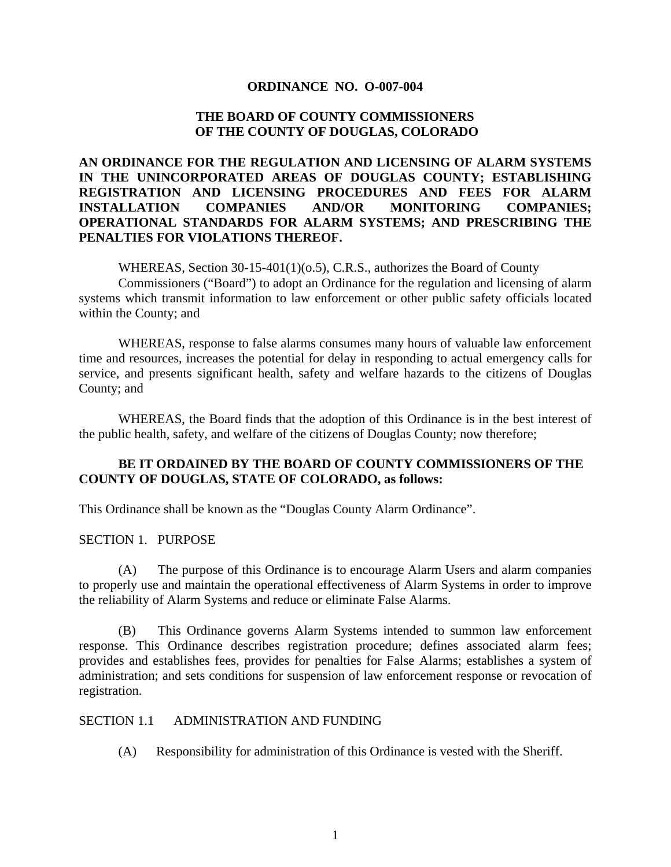#### **ORDINANCE NO. O-007-004**

### **THE BOARD OF COUNTY COMMISSIONERS OF THE COUNTY OF DOUGLAS, COLORADO**

## **AN ORDINANCE FOR THE REGULATION AND LICENSING OF ALARM SYSTEMS IN THE UNINCORPORATED AREAS OF DOUGLAS COUNTY; ESTABLISHING REGISTRATION AND LICENSING PROCEDURES AND FEES FOR ALARM INSTALLATION COMPANIES AND/OR MONITORING COMPANIES; OPERATIONAL STANDARDS FOR ALARM SYSTEMS; AND PRESCRIBING THE PENALTIES FOR VIOLATIONS THEREOF.**

WHEREAS, Section  $30-15-401(1)(0.5)$ , C.R.S., authorizes the Board of County

Commissioners ("Board") to adopt an Ordinance for the regulation and licensing of alarm systems which transmit information to law enforcement or other public safety officials located within the County; and

WHEREAS, response to false alarms consumes many hours of valuable law enforcement time and resources, increases the potential for delay in responding to actual emergency calls for service, and presents significant health, safety and welfare hazards to the citizens of Douglas County; and

WHEREAS, the Board finds that the adoption of this Ordinance is in the best interest of the public health, safety, and welfare of the citizens of Douglas County; now therefore;

### **BE IT ORDAINED BY THE BOARD OF COUNTY COMMISSIONERS OF THE COUNTY OF DOUGLAS, STATE OF COLORADO, as follows:**

This Ordinance shall be known as the "Douglas County Alarm Ordinance".

### SECTION 1. PURPOSE

 (A) The purpose of this Ordinance is to encourage Alarm Users and alarm companies to properly use and maintain the operational effectiveness of Alarm Systems in order to improve the reliability of Alarm Systems and reduce or eliminate False Alarms.

 (B) This Ordinance governs Alarm Systems intended to summon law enforcement response. This Ordinance describes registration procedure; defines associated alarm fees; provides and establishes fees, provides for penalties for False Alarms; establishes a system of administration; and sets conditions for suspension of law enforcement response or revocation of registration.

#### SECTION 1.1 ADMINISTRATION AND FUNDING

(A) Responsibility for administration of this Ordinance is vested with the Sheriff.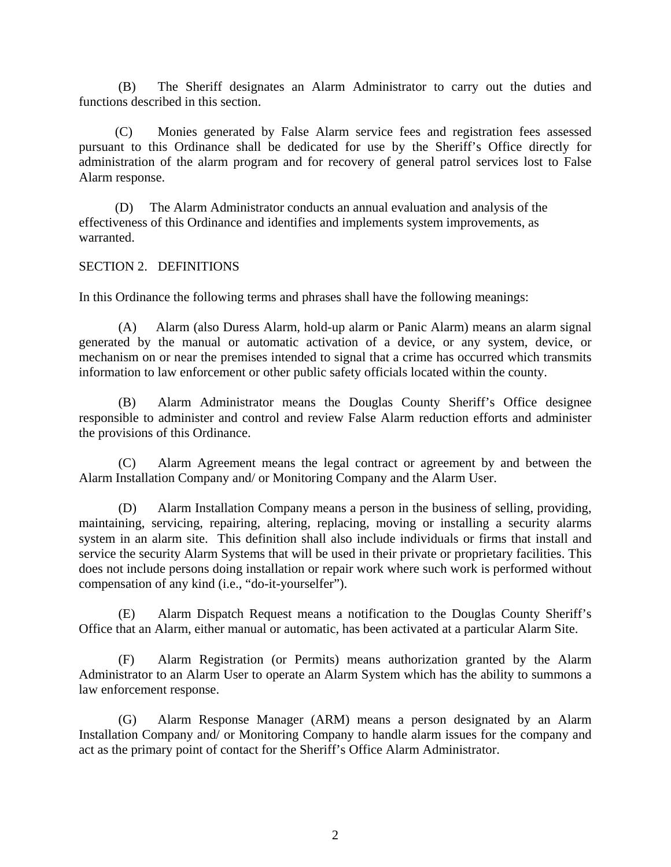(B) The Sheriff designates an Alarm Administrator to carry out the duties and functions described in this section.

 (C) Monies generated by False Alarm service fees and registration fees assessed pursuant to this Ordinance shall be dedicated for use by the Sheriff's Office directly for administration of the alarm program and for recovery of general patrol services lost to False Alarm response.

 (D) The Alarm Administrator conducts an annual evaluation and analysis of the effectiveness of this Ordinance and identifies and implements system improvements, as warranted.

SECTION 2. DEFINITIONS

In this Ordinance the following terms and phrases shall have the following meanings:

 (A) Alarm (also Duress Alarm, hold-up alarm or Panic Alarm) means an alarm signal generated by the manual or automatic activation of a device, or any system, device, or mechanism on or near the premises intended to signal that a crime has occurred which transmits information to law enforcement or other public safety officials located within the county.

(B) Alarm Administrator means the Douglas County Sheriff's Office designee responsible to administer and control and review False Alarm reduction efforts and administer the provisions of this Ordinance.

 (C) Alarm Agreement means the legal contract or agreement by and between the Alarm Installation Company and/ or Monitoring Company and the Alarm User.

 (D) Alarm Installation Company means a person in the business of selling, providing, maintaining, servicing, repairing, altering, replacing, moving or installing a security alarms system in an alarm site. This definition shall also include individuals or firms that install and service the security Alarm Systems that will be used in their private or proprietary facilities. This does not include persons doing installation or repair work where such work is performed without compensation of any kind (i.e., "do-it-yourselfer").

 (E) Alarm Dispatch Request means a notification to the Douglas County Sheriff's Office that an Alarm, either manual or automatic, has been activated at a particular Alarm Site.

 (F) Alarm Registration (or Permits) means authorization granted by the Alarm Administrator to an Alarm User to operate an Alarm System which has the ability to summons a law enforcement response.

 (G) Alarm Response Manager (ARM) means a person designated by an Alarm Installation Company and/ or Monitoring Company to handle alarm issues for the company and act as the primary point of contact for the Sheriff's Office Alarm Administrator.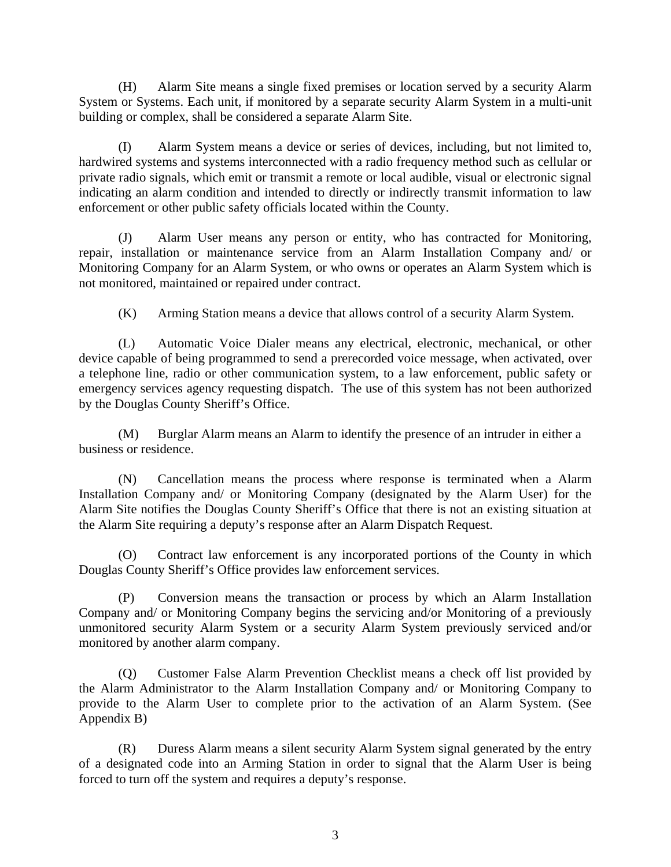(H) Alarm Site means a single fixed premises or location served by a security Alarm System or Systems. Each unit, if monitored by a separate security Alarm System in a multi-unit building or complex, shall be considered a separate Alarm Site.

(I) Alarm System means a device or series of devices, including, but not limited to, hardwired systems and systems interconnected with a radio frequency method such as cellular or private radio signals, which emit or transmit a remote or local audible, visual or electronic signal indicating an alarm condition and intended to directly or indirectly transmit information to law enforcement or other public safety officials located within the County.

(J) Alarm User means any person or entity, who has contracted for Monitoring, repair, installation or maintenance service from an Alarm Installation Company and/ or Monitoring Company for an Alarm System, or who owns or operates an Alarm System which is not monitored, maintained or repaired under contract.

(K) Arming Station means a device that allows control of a security Alarm System.

(L) Automatic Voice Dialer means any electrical, electronic, mechanical, or other device capable of being programmed to send a prerecorded voice message, when activated, over a telephone line, radio or other communication system, to a law enforcement, public safety or emergency services agency requesting dispatch. The use of this system has not been authorized by the Douglas County Sheriff's Office.

(M) Burglar Alarm means an Alarm to identify the presence of an intruder in either a business or residence.

(N) Cancellation means the process where response is terminated when a Alarm Installation Company and/ or Monitoring Company (designated by the Alarm User) for the Alarm Site notifies the Douglas County Sheriff's Office that there is not an existing situation at the Alarm Site requiring a deputy's response after an Alarm Dispatch Request.

(O) Contract law enforcement is any incorporated portions of the County in which Douglas County Sheriff's Office provides law enforcement services.

(P) Conversion means the transaction or process by which an Alarm Installation Company and/ or Monitoring Company begins the servicing and/or Monitoring of a previously unmonitored security Alarm System or a security Alarm System previously serviced and/or monitored by another alarm company.

(Q) Customer False Alarm Prevention Checklist means a check off list provided by the Alarm Administrator to the Alarm Installation Company and/ or Monitoring Company to provide to the Alarm User to complete prior to the activation of an Alarm System. (See Appendix B)

(R) Duress Alarm means a silent security Alarm System signal generated by the entry of a designated code into an Arming Station in order to signal that the Alarm User is being forced to turn off the system and requires a deputy's response.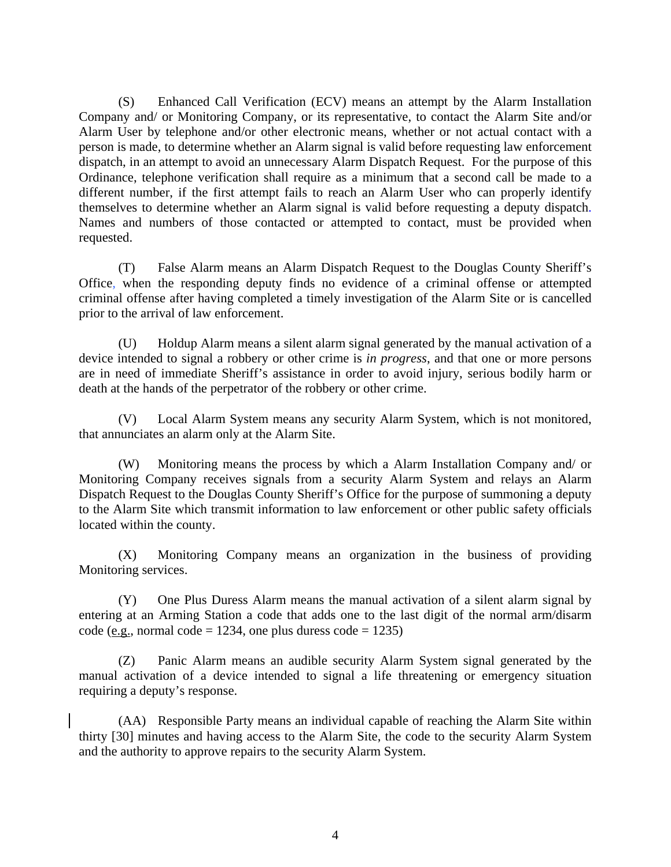(S) Enhanced Call Verification (ECV) means an attempt by the Alarm Installation Company and/ or Monitoring Company, or its representative, to contact the Alarm Site and/or Alarm User by telephone and/or other electronic means, whether or not actual contact with a person is made, to determine whether an Alarm signal is valid before requesting law enforcement dispatch, in an attempt to avoid an unnecessary Alarm Dispatch Request. For the purpose of this Ordinance, telephone verification shall require as a minimum that a second call be made to a different number, if the first attempt fails to reach an Alarm User who can properly identify themselves to determine whether an Alarm signal is valid before requesting a deputy dispatch. Names and numbers of those contacted or attempted to contact, must be provided when requested.

(T) False Alarm means an Alarm Dispatch Request to the Douglas County Sheriff's Office, when the responding deputy finds no evidence of a criminal offense or attempted criminal offense after having completed a timely investigation of the Alarm Site or is cancelled prior to the arrival of law enforcement.

(U) Holdup Alarm means a silent alarm signal generated by the manual activation of a device intended to signal a robbery or other crime is *in progress*, and that one or more persons are in need of immediate Sheriff's assistance in order to avoid injury, serious bodily harm or death at the hands of the perpetrator of the robbery or other crime.

(V) Local Alarm System means any security Alarm System, which is not monitored, that annunciates an alarm only at the Alarm Site.

(W) Monitoring means the process by which a Alarm Installation Company and/ or Monitoring Company receives signals from a security Alarm System and relays an Alarm Dispatch Request to the Douglas County Sheriff's Office for the purpose of summoning a deputy to the Alarm Site which transmit information to law enforcement or other public safety officials located within the county.

(X) Monitoring Company means an organization in the business of providing Monitoring services.

(Y) One Plus Duress Alarm means the manual activation of a silent alarm signal by entering at an Arming Station a code that adds one to the last digit of the normal arm/disarm code (e.g., normal code = 1234, one plus duress code = 1235)

(Z) Panic Alarm means an audible security Alarm System signal generated by the manual activation of a device intended to signal a life threatening or emergency situation requiring a deputy's response.

(AA) Responsible Party means an individual capable of reaching the Alarm Site within thirty [30] minutes and having access to the Alarm Site, the code to the security Alarm System and the authority to approve repairs to the security Alarm System.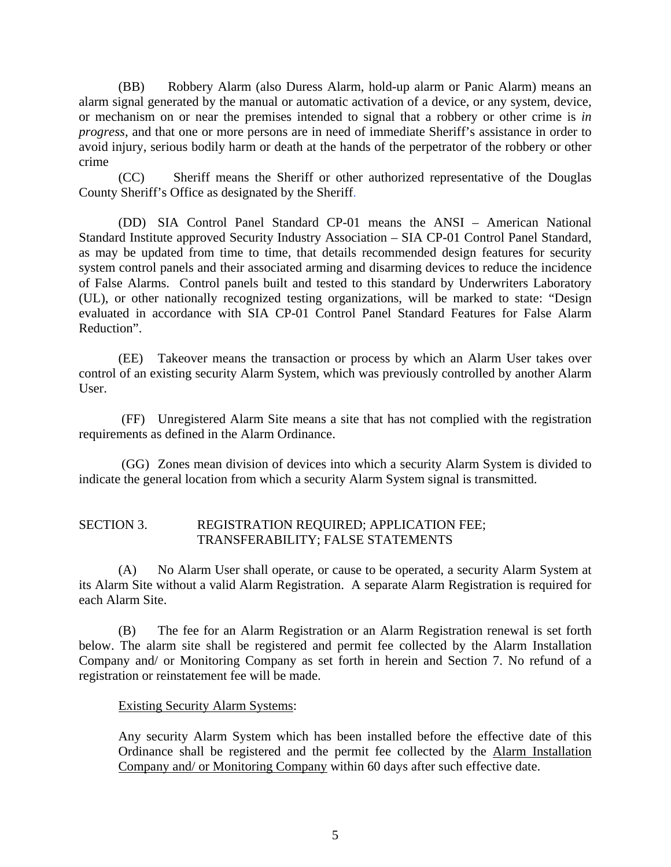(BB) Robbery Alarm (also Duress Alarm, hold-up alarm or Panic Alarm) means an alarm signal generated by the manual or automatic activation of a device, or any system, device, or mechanism on or near the premises intended to signal that a robbery or other crime is *in progress*, and that one or more persons are in need of immediate Sheriff's assistance in order to avoid injury, serious bodily harm or death at the hands of the perpetrator of the robbery or other crime

(CC) Sheriff means the Sheriff or other authorized representative of the Douglas County Sheriff's Office as designated by the Sheriff.

(DD) SIA Control Panel Standard CP-01 means the ANSI – American National Standard Institute approved Security Industry Association – SIA CP-01 Control Panel Standard, as may be updated from time to time, that details recommended design features for security system control panels and their associated arming and disarming devices to reduce the incidence of False Alarms. Control panels built and tested to this standard by Underwriters Laboratory (UL), or other nationally recognized testing organizations, will be marked to state: "Design evaluated in accordance with SIA CP-01 Control Panel Standard Features for False Alarm Reduction".

(EE) Takeover means the transaction or process by which an Alarm User takes over control of an existing security Alarm System, which was previously controlled by another Alarm User.

 (FF) Unregistered Alarm Site means a site that has not complied with the registration requirements as defined in the Alarm Ordinance.

 (GG) Zones mean division of devices into which a security Alarm System is divided to indicate the general location from which a security Alarm System signal is transmitted.

## SECTION 3. REGISTRATION REQUIRED; APPLICATION FEE; TRANSFERABILITY; FALSE STATEMENTS

 (A) No Alarm User shall operate, or cause to be operated, a security Alarm System at its Alarm Site without a valid Alarm Registration. A separate Alarm Registration is required for each Alarm Site.

(B) The fee for an Alarm Registration or an Alarm Registration renewal is set forth below. The alarm site shall be registered and permit fee collected by the Alarm Installation Company and/ or Monitoring Company as set forth in herein and Section 7. No refund of a registration or reinstatement fee will be made.

### Existing Security Alarm Systems:

Any security Alarm System which has been installed before the effective date of this Ordinance shall be registered and the permit fee collected by the Alarm Installation Company and/ or Monitoring Company within 60 days after such effective date.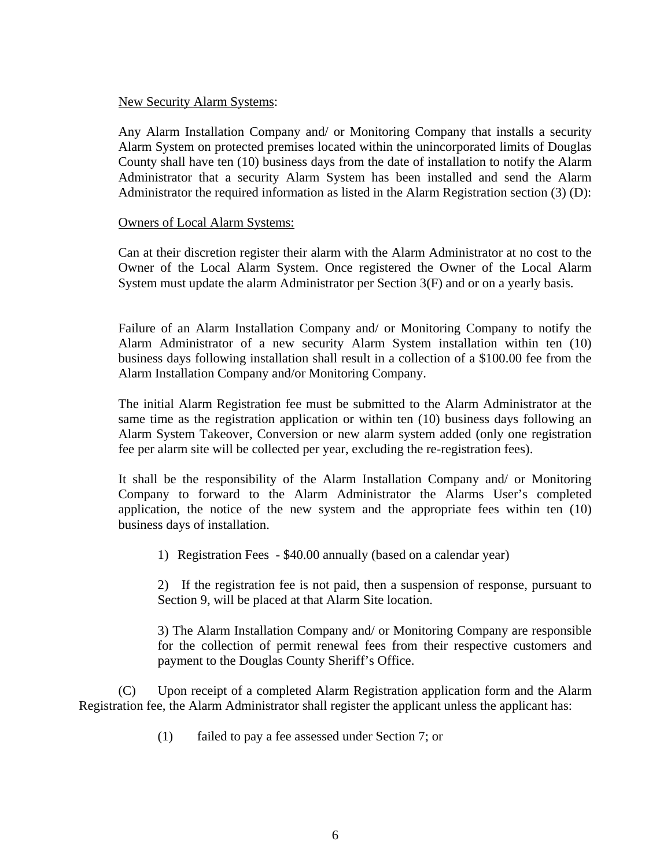#### New Security Alarm Systems:

Any Alarm Installation Company and/ or Monitoring Company that installs a security Alarm System on protected premises located within the unincorporated limits of Douglas County shall have ten (10) business days from the date of installation to notify the Alarm Administrator that a security Alarm System has been installed and send the Alarm Administrator the required information as listed in the Alarm Registration section (3) (D):

#### Owners of Local Alarm Systems:

Can at their discretion register their alarm with the Alarm Administrator at no cost to the Owner of the Local Alarm System. Once registered the Owner of the Local Alarm System must update the alarm Administrator per Section 3(F) and or on a yearly basis.

Failure of an Alarm Installation Company and/ or Monitoring Company to notify the Alarm Administrator of a new security Alarm System installation within ten (10) business days following installation shall result in a collection of a \$100.00 fee from the Alarm Installation Company and/or Monitoring Company.

The initial Alarm Registration fee must be submitted to the Alarm Administrator at the same time as the registration application or within ten (10) business days following an Alarm System Takeover, Conversion or new alarm system added (only one registration fee per alarm site will be collected per year, excluding the re-registration fees).

It shall be the responsibility of the Alarm Installation Company and/ or Monitoring Company to forward to the Alarm Administrator the Alarms User's completed application, the notice of the new system and the appropriate fees within ten (10) business days of installation.

1) Registration Fees - \$40.00 annually (based on a calendar year)

2) If the registration fee is not paid, then a suspension of response, pursuant to Section 9, will be placed at that Alarm Site location.

3) The Alarm Installation Company and/ or Monitoring Company are responsible for the collection of permit renewal fees from their respective customers and payment to the Douglas County Sheriff's Office.

 (C) Upon receipt of a completed Alarm Registration application form and the Alarm Registration fee, the Alarm Administrator shall register the applicant unless the applicant has:

(1) failed to pay a fee assessed under Section 7; or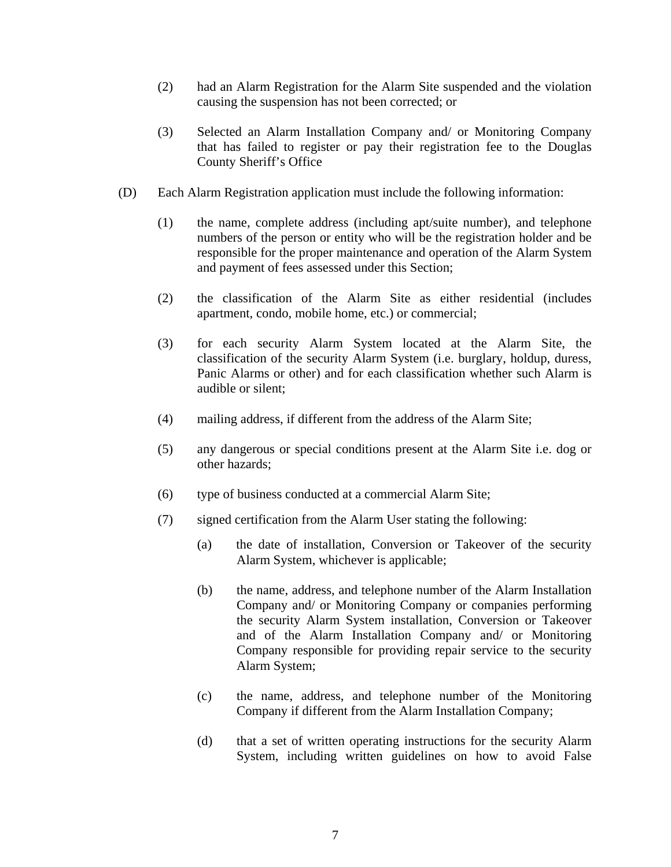- (2) had an Alarm Registration for the Alarm Site suspended and the violation causing the suspension has not been corrected; or
- (3) Selected an Alarm Installation Company and/ or Monitoring Company that has failed to register or pay their registration fee to the Douglas County Sheriff's Office
- (D) Each Alarm Registration application must include the following information:
	- (1) the name, complete address (including apt/suite number), and telephone numbers of the person or entity who will be the registration holder and be responsible for the proper maintenance and operation of the Alarm System and payment of fees assessed under this Section;
	- (2) the classification of the Alarm Site as either residential (includes apartment, condo, mobile home, etc.) or commercial;
	- (3) for each security Alarm System located at the Alarm Site, the classification of the security Alarm System (i.e. burglary, holdup, duress, Panic Alarms or other) and for each classification whether such Alarm is audible or silent;
	- (4) mailing address, if different from the address of the Alarm Site;
	- (5) any dangerous or special conditions present at the Alarm Site i.e. dog or other hazards;
	- (6) type of business conducted at a commercial Alarm Site;
	- (7) signed certification from the Alarm User stating the following:
		- (a) the date of installation, Conversion or Takeover of the security Alarm System, whichever is applicable;
		- (b) the name, address, and telephone number of the Alarm Installation Company and/ or Monitoring Company or companies performing the security Alarm System installation, Conversion or Takeover and of the Alarm Installation Company and/ or Monitoring Company responsible for providing repair service to the security Alarm System;
		- (c) the name, address, and telephone number of the Monitoring Company if different from the Alarm Installation Company;
		- (d) that a set of written operating instructions for the security Alarm System, including written guidelines on how to avoid False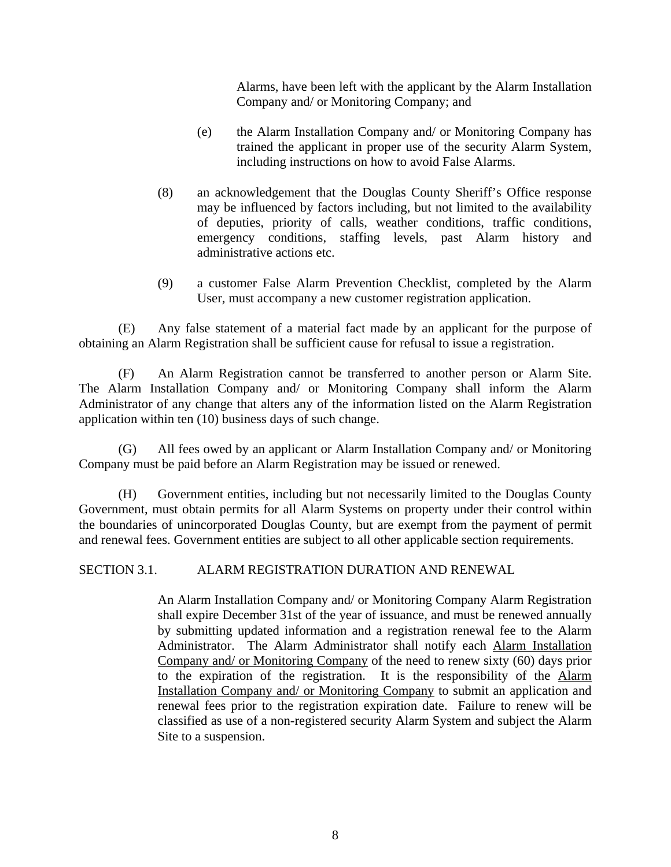Alarms, have been left with the applicant by the Alarm Installation Company and/ or Monitoring Company; and

- (e) the Alarm Installation Company and/ or Monitoring Company has trained the applicant in proper use of the security Alarm System, including instructions on how to avoid False Alarms.
- (8) an acknowledgement that the Douglas County Sheriff's Office response may be influenced by factors including, but not limited to the availability of deputies, priority of calls, weather conditions, traffic conditions, emergency conditions, staffing levels, past Alarm history and administrative actions etc.
- (9) a customer False Alarm Prevention Checklist, completed by the Alarm User, must accompany a new customer registration application.

 (E) Any false statement of a material fact made by an applicant for the purpose of obtaining an Alarm Registration shall be sufficient cause for refusal to issue a registration.

 (F) An Alarm Registration cannot be transferred to another person or Alarm Site. The Alarm Installation Company and/ or Monitoring Company shall inform the Alarm Administrator of any change that alters any of the information listed on the Alarm Registration application within ten (10) business days of such change.

 (G) All fees owed by an applicant or Alarm Installation Company and/ or Monitoring Company must be paid before an Alarm Registration may be issued or renewed.

 (H) Government entities, including but not necessarily limited to the Douglas County Government, must obtain permits for all Alarm Systems on property under their control within the boundaries of unincorporated Douglas County, but are exempt from the payment of permit and renewal fees. Government entities are subject to all other applicable section requirements.

SECTION 3.1. ALARM REGISTRATION DURATION AND RENEWAL

An Alarm Installation Company and/ or Monitoring Company Alarm Registration shall expire December 31st of the year of issuance, and must be renewed annually by submitting updated information and a registration renewal fee to the Alarm Administrator. The Alarm Administrator shall notify each Alarm Installation Company and/ or Monitoring Company of the need to renew sixty (60) days prior to the expiration of the registration. It is the responsibility of the Alarm Installation Company and/ or Monitoring Company to submit an application and renewal fees prior to the registration expiration date. Failure to renew will be classified as use of a non-registered security Alarm System and subject the Alarm Site to a suspension.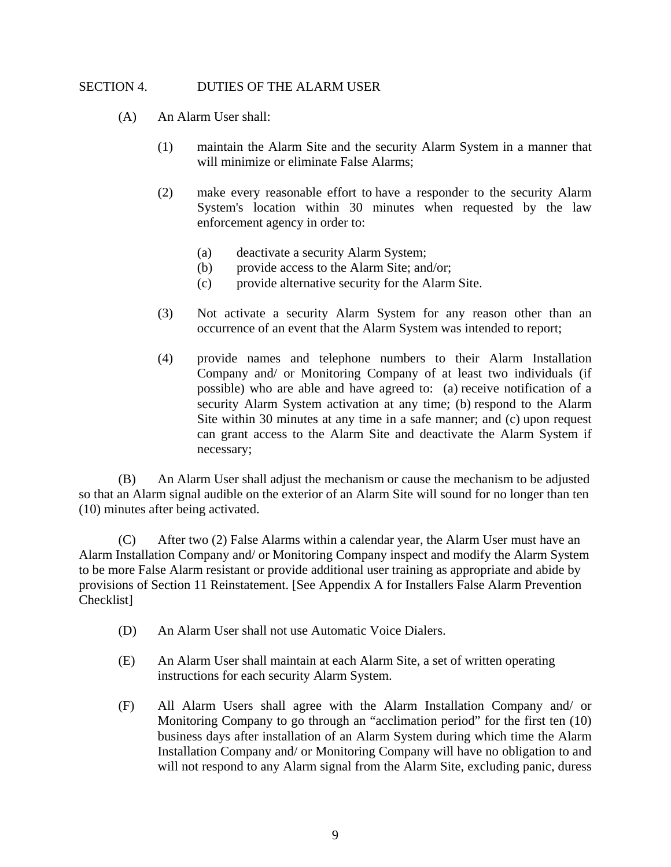### SECTION 4. DUTIES OF THE ALARM USER

- (A) An Alarm User shall:
	- (1) maintain the Alarm Site and the security Alarm System in a manner that will minimize or eliminate False Alarms;
	- (2) make every reasonable effort to have a responder to the security Alarm System's location within 30 minutes when requested by the law enforcement agency in order to:
		- (a) deactivate a security Alarm System;
		- (b) provide access to the Alarm Site; and/or;
		- (c) provide alternative security for the Alarm Site.
	- (3) Not activate a security Alarm System for any reason other than an occurrence of an event that the Alarm System was intended to report;
	- (4) provide names and telephone numbers to their Alarm Installation Company and/ or Monitoring Company of at least two individuals (if possible) who are able and have agreed to: (a) receive notification of a security Alarm System activation at any time; (b) respond to the Alarm Site within 30 minutes at any time in a safe manner; and (c) upon request can grant access to the Alarm Site and deactivate the Alarm System if necessary;

(B) An Alarm User shall adjust the mechanism or cause the mechanism to be adjusted so that an Alarm signal audible on the exterior of an Alarm Site will sound for no longer than ten (10) minutes after being activated.

(C) After two (2) False Alarms within a calendar year, the Alarm User must have an Alarm Installation Company and/ or Monitoring Company inspect and modify the Alarm System to be more False Alarm resistant or provide additional user training as appropriate and abide by provisions of Section 11 Reinstatement. [See Appendix A for Installers False Alarm Prevention Checklist]

- (D) An Alarm User shall not use Automatic Voice Dialers.
- (E) An Alarm User shall maintain at each Alarm Site, a set of written operating instructions for each security Alarm System.
- (F) All Alarm Users shall agree with the Alarm Installation Company and/ or Monitoring Company to go through an "acclimation period" for the first ten (10) business days after installation of an Alarm System during which time the Alarm Installation Company and/ or Monitoring Company will have no obligation to and will not respond to any Alarm signal from the Alarm Site, excluding panic, duress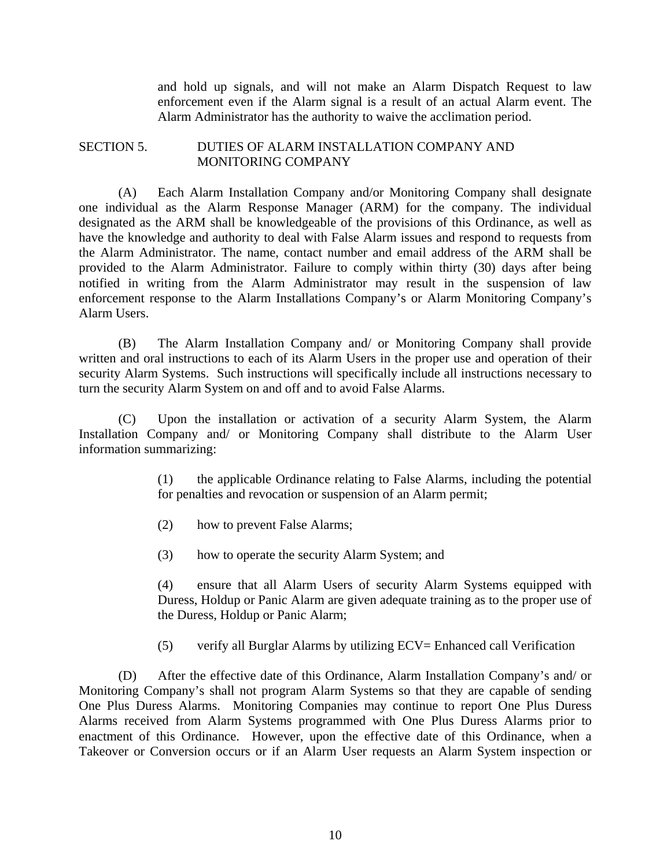and hold up signals, and will not make an Alarm Dispatch Request to law enforcement even if the Alarm signal is a result of an actual Alarm event. The Alarm Administrator has the authority to waive the acclimation period.

### SECTION 5. DUTIES OF ALARM INSTALLATION COMPANY AND MONITORING COMPANY

(A) Each Alarm Installation Company and/or Monitoring Company shall designate one individual as the Alarm Response Manager (ARM) for the company. The individual designated as the ARM shall be knowledgeable of the provisions of this Ordinance, as well as have the knowledge and authority to deal with False Alarm issues and respond to requests from the Alarm Administrator. The name, contact number and email address of the ARM shall be provided to the Alarm Administrator. Failure to comply within thirty (30) days after being notified in writing from the Alarm Administrator may result in the suspension of law enforcement response to the Alarm Installations Company's or Alarm Monitoring Company's Alarm Users.

(B) The Alarm Installation Company and/ or Monitoring Company shall provide written and oral instructions to each of its Alarm Users in the proper use and operation of their security Alarm Systems. Such instructions will specifically include all instructions necessary to turn the security Alarm System on and off and to avoid False Alarms.

(C) Upon the installation or activation of a security Alarm System, the Alarm Installation Company and/ or Monitoring Company shall distribute to the Alarm User information summarizing:

> (1) the applicable Ordinance relating to False Alarms, including the potential for penalties and revocation or suspension of an Alarm permit;

(2) how to prevent False Alarms;

(3) how to operate the security Alarm System; and

 (4) ensure that all Alarm Users of security Alarm Systems equipped with Duress, Holdup or Panic Alarm are given adequate training as to the proper use of the Duress, Holdup or Panic Alarm;

(5) verify all Burglar Alarms by utilizing ECV= Enhanced call Verification

 (D) After the effective date of this Ordinance, Alarm Installation Company's and/ or Monitoring Company's shall not program Alarm Systems so that they are capable of sending One Plus Duress Alarms. Monitoring Companies may continue to report One Plus Duress Alarms received from Alarm Systems programmed with One Plus Duress Alarms prior to enactment of this Ordinance. However, upon the effective date of this Ordinance, when a Takeover or Conversion occurs or if an Alarm User requests an Alarm System inspection or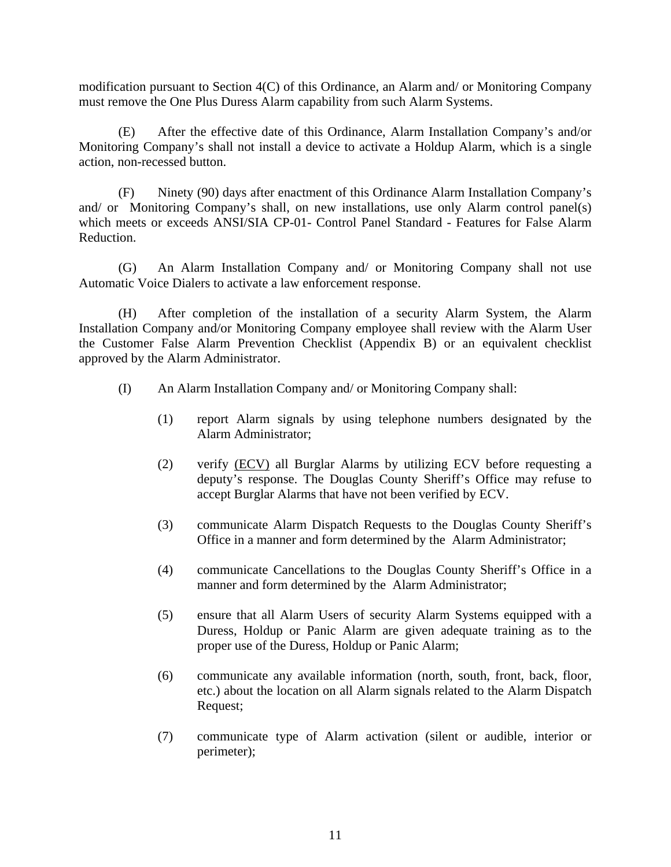modification pursuant to Section 4(C) of this Ordinance, an Alarm and/ or Monitoring Company must remove the One Plus Duress Alarm capability from such Alarm Systems.

 (E) After the effective date of this Ordinance, Alarm Installation Company's and/or Monitoring Company's shall not install a device to activate a Holdup Alarm, which is a single action, non-recessed button.

 (F) Ninety (90) days after enactment of this Ordinance Alarm Installation Company's and/ or Monitoring Company's shall, on new installations, use only Alarm control panel(s) which meets or exceeds ANSI/SIA CP-01- Control Panel Standard - Features for False Alarm Reduction.

 (G) An Alarm Installation Company and/ or Monitoring Company shall not use Automatic Voice Dialers to activate a law enforcement response.

 (H) After completion of the installation of a security Alarm System, the Alarm Installation Company and/or Monitoring Company employee shall review with the Alarm User the Customer False Alarm Prevention Checklist (Appendix B) or an equivalent checklist approved by the Alarm Administrator.

- (I) An Alarm Installation Company and/ or Monitoring Company shall:
	- (1) report Alarm signals by using telephone numbers designated by the Alarm Administrator;
	- (2) verify (ECV) all Burglar Alarms by utilizing ECV before requesting a deputy's response. The Douglas County Sheriff's Office may refuse to accept Burglar Alarms that have not been verified by ECV.
	- (3) communicate Alarm Dispatch Requests to the Douglas County Sheriff's Office in a manner and form determined by the Alarm Administrator;
	- (4) communicate Cancellations to the Douglas County Sheriff's Office in a manner and form determined by the Alarm Administrator;
	- (5) ensure that all Alarm Users of security Alarm Systems equipped with a Duress, Holdup or Panic Alarm are given adequate training as to the proper use of the Duress, Holdup or Panic Alarm;
	- (6) communicate any available information (north, south, front, back, floor, etc.) about the location on all Alarm signals related to the Alarm Dispatch Request;
	- (7) communicate type of Alarm activation (silent or audible, interior or perimeter);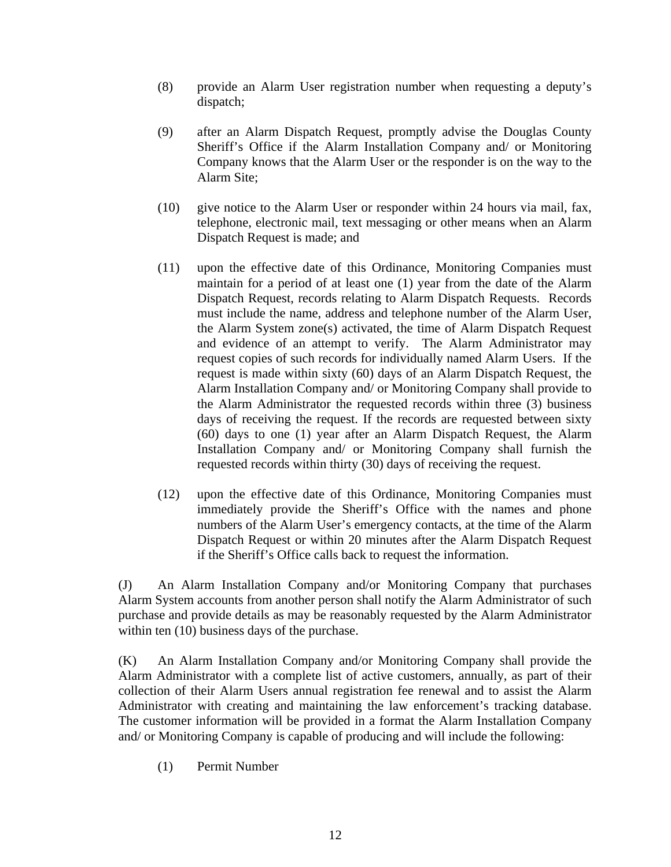- (8) provide an Alarm User registration number when requesting a deputy's dispatch;
- (9) after an Alarm Dispatch Request, promptly advise the Douglas County Sheriff's Office if the Alarm Installation Company and/ or Monitoring Company knows that the Alarm User or the responder is on the way to the Alarm Site;
- (10) give notice to the Alarm User or responder within 24 hours via mail, fax, telephone, electronic mail, text messaging or other means when an Alarm Dispatch Request is made; and
- (11) upon the effective date of this Ordinance, Monitoring Companies must maintain for a period of at least one (1) year from the date of the Alarm Dispatch Request, records relating to Alarm Dispatch Requests. Records must include the name, address and telephone number of the Alarm User, the Alarm System zone(s) activated, the time of Alarm Dispatch Request and evidence of an attempt to verify. The Alarm Administrator may request copies of such records for individually named Alarm Users. If the request is made within sixty (60) days of an Alarm Dispatch Request, the Alarm Installation Company and/ or Monitoring Company shall provide to the Alarm Administrator the requested records within three (3) business days of receiving the request. If the records are requested between sixty (60) days to one (1) year after an Alarm Dispatch Request, the Alarm Installation Company and/ or Monitoring Company shall furnish the requested records within thirty (30) days of receiving the request.
- (12) upon the effective date of this Ordinance, Monitoring Companies must immediately provide the Sheriff's Office with the names and phone numbers of the Alarm User's emergency contacts, at the time of the Alarm Dispatch Request or within 20 minutes after the Alarm Dispatch Request if the Sheriff's Office calls back to request the information.

(J) An Alarm Installation Company and/or Monitoring Company that purchases Alarm System accounts from another person shall notify the Alarm Administrator of such purchase and provide details as may be reasonably requested by the Alarm Administrator within ten  $(10)$  business days of the purchase.

(K) An Alarm Installation Company and/or Monitoring Company shall provide the Alarm Administrator with a complete list of active customers, annually, as part of their collection of their Alarm Users annual registration fee renewal and to assist the Alarm Administrator with creating and maintaining the law enforcement's tracking database. The customer information will be provided in a format the Alarm Installation Company and/ or Monitoring Company is capable of producing and will include the following:

(1) Permit Number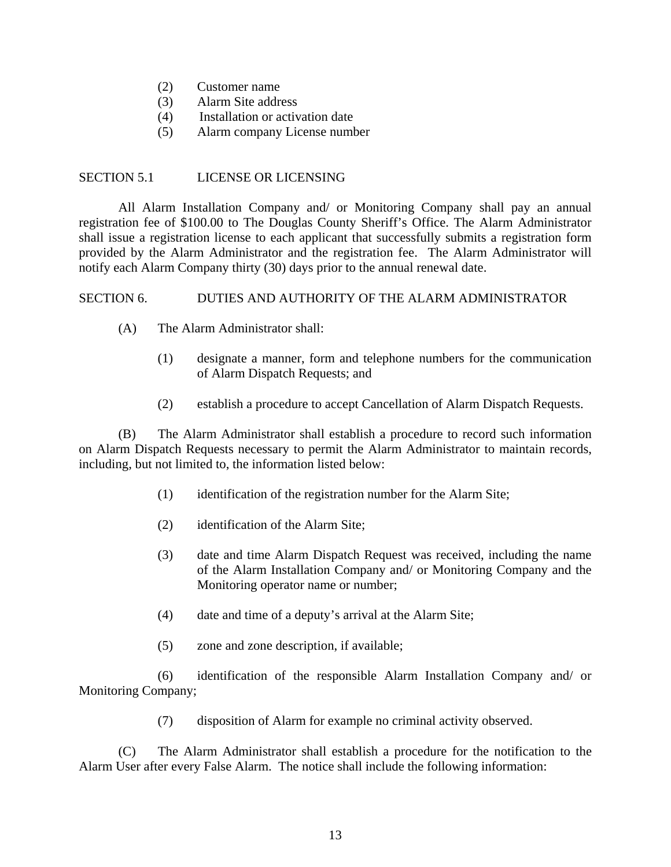- (2) Customer name
- (3) Alarm Site address
- (4) Installation or activation date
- (5) Alarm company License number

### SECTION 5.1 LICENSE OR LICENSING

 All Alarm Installation Company and/ or Monitoring Company shall pay an annual registration fee of \$100.00 to The Douglas County Sheriff's Office. The Alarm Administrator shall issue a registration license to each applicant that successfully submits a registration form provided by the Alarm Administrator and the registration fee. The Alarm Administrator will notify each Alarm Company thirty (30) days prior to the annual renewal date.

### SECTION 6. DUTIES AND AUTHORITY OF THE ALARM ADMINISTRATOR

- (A) The Alarm Administrator shall:
	- (1) designate a manner, form and telephone numbers for the communication of Alarm Dispatch Requests; and
	- (2) establish a procedure to accept Cancellation of Alarm Dispatch Requests.

 (B) The Alarm Administrator shall establish a procedure to record such information on Alarm Dispatch Requests necessary to permit the Alarm Administrator to maintain records, including, but not limited to, the information listed below:

- (1) identification of the registration number for the Alarm Site;
- (2) identification of the Alarm Site;
- (3) date and time Alarm Dispatch Request was received, including the name of the Alarm Installation Company and/ or Monitoring Company and the Monitoring operator name or number;
- (4) date and time of a deputy's arrival at the Alarm Site;
- (5) zone and zone description, if available;

 (6) identification of the responsible Alarm Installation Company and/ or Monitoring Company;

(7) disposition of Alarm for example no criminal activity observed.

 (C) The Alarm Administrator shall establish a procedure for the notification to the Alarm User after every False Alarm. The notice shall include the following information: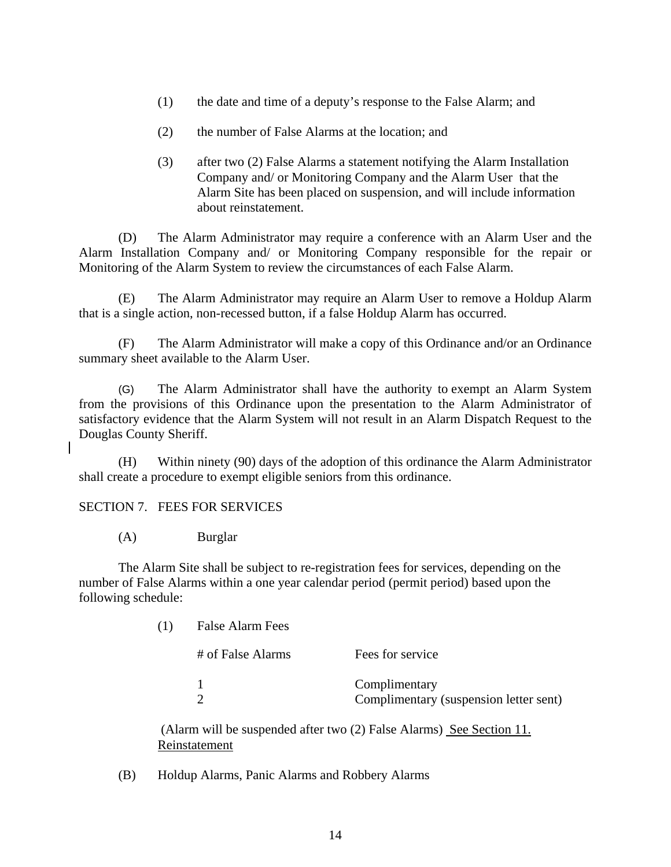- (1) the date and time of a deputy's response to the False Alarm; and
- (2) the number of False Alarms at the location; and
- (3) after two (2) False Alarms a statement notifying the Alarm Installation Company and/ or Monitoring Company and the Alarm User that the Alarm Site has been placed on suspension, and will include information about reinstatement.

 (D) The Alarm Administrator may require a conference with an Alarm User and the Alarm Installation Company and/ or Monitoring Company responsible for the repair or Monitoring of the Alarm System to review the circumstances of each False Alarm.

 (E) The Alarm Administrator may require an Alarm User to remove a Holdup Alarm that is a single action, non-recessed button, if a false Holdup Alarm has occurred.

 (F) The Alarm Administrator will make a copy of this Ordinance and/or an Ordinance summary sheet available to the Alarm User.

(G) The Alarm Administrator shall have the authority to exempt an Alarm System from the provisions of this Ordinance upon the presentation to the Alarm Administrator of satisfactory evidence that the Alarm System will not result in an Alarm Dispatch Request to the Douglas County Sheriff.

(H) Within ninety (90) days of the adoption of this ordinance the Alarm Administrator shall create a procedure to exempt eligible seniors from this ordinance.

### SECTION 7. FEES FOR SERVICES

(A) Burglar

The Alarm Site shall be subject to re-registration fees for services, depending on the number of False Alarms within a one year calendar period (permit period) based upon the following schedule:

| (1) | <b>False Alarm Fees</b> |                                                         |  |
|-----|-------------------------|---------------------------------------------------------|--|
|     | # of False Alarms       | Fees for service                                        |  |
|     |                         | Complimentary<br>Complimentary (suspension letter sent) |  |

 (Alarm will be suspended after two (2) False Alarms) See Section 11. Reinstatement

(B) Holdup Alarms, Panic Alarms and Robbery Alarms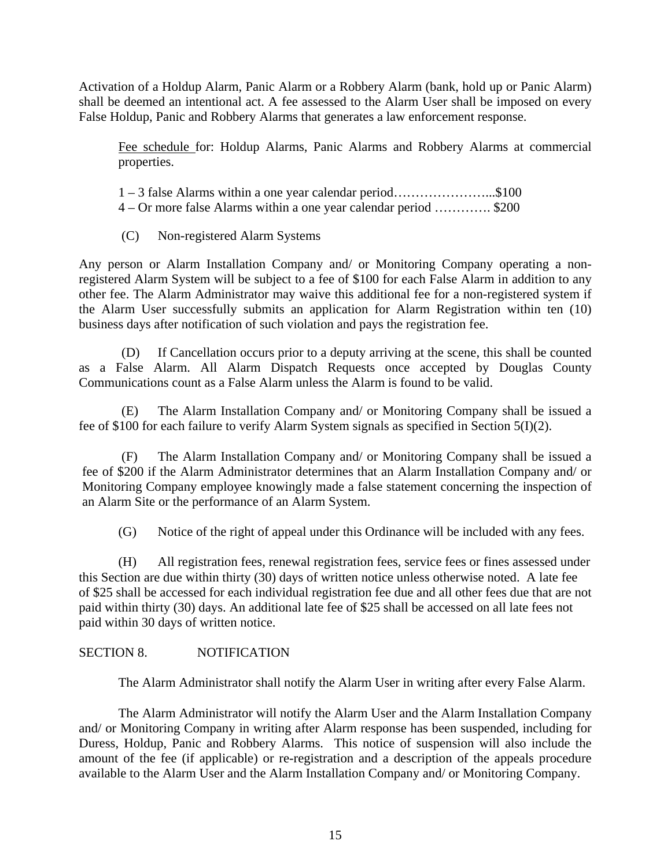Activation of a Holdup Alarm, Panic Alarm or a Robbery Alarm (bank, hold up or Panic Alarm) shall be deemed an intentional act. A fee assessed to the Alarm User shall be imposed on every False Holdup, Panic and Robbery Alarms that generates a law enforcement response.

Fee schedule for: Holdup Alarms, Panic Alarms and Robbery Alarms at commercial properties.

1 – 3 false Alarms within a one year calendar period…………………...\$100

4 – Or more false Alarms within a one year calendar period …………. \$200

(C) Non-registered Alarm Systems

Any person or Alarm Installation Company and/ or Monitoring Company operating a nonregistered Alarm System will be subject to a fee of \$100 for each False Alarm in addition to any other fee. The Alarm Administrator may waive this additional fee for a non-registered system if the Alarm User successfully submits an application for Alarm Registration within ten (10) business days after notification of such violation and pays the registration fee.

 (D) If Cancellation occurs prior to a deputy arriving at the scene, this shall be counted as a False Alarm. All Alarm Dispatch Requests once accepted by Douglas County Communications count as a False Alarm unless the Alarm is found to be valid.

 (E) The Alarm Installation Company and/ or Monitoring Company shall be issued a fee of \$100 for each failure to verify Alarm System signals as specified in Section 5(I)(2).

 (F) The Alarm Installation Company and/ or Monitoring Company shall be issued a fee of \$200 if the Alarm Administrator determines that an Alarm Installation Company and/ or Monitoring Company employee knowingly made a false statement concerning the inspection of an Alarm Site or the performance of an Alarm System.

(G) Notice of the right of appeal under this Ordinance will be included with any fees.

 (H) All registration fees, renewal registration fees, service fees or fines assessed under this Section are due within thirty (30) days of written notice unless otherwise noted. A late fee of \$25 shall be accessed for each individual registration fee due and all other fees due that are not paid within thirty (30) days. An additional late fee of \$25 shall be accessed on all late fees not paid within 30 days of written notice.

# SECTION 8. NOTIFICATION

The Alarm Administrator shall notify the Alarm User in writing after every False Alarm.

The Alarm Administrator will notify the Alarm User and the Alarm Installation Company and/ or Monitoring Company in writing after Alarm response has been suspended, including for Duress, Holdup, Panic and Robbery Alarms. This notice of suspension will also include the amount of the fee (if applicable) or re-registration and a description of the appeals procedure available to the Alarm User and the Alarm Installation Company and/ or Monitoring Company.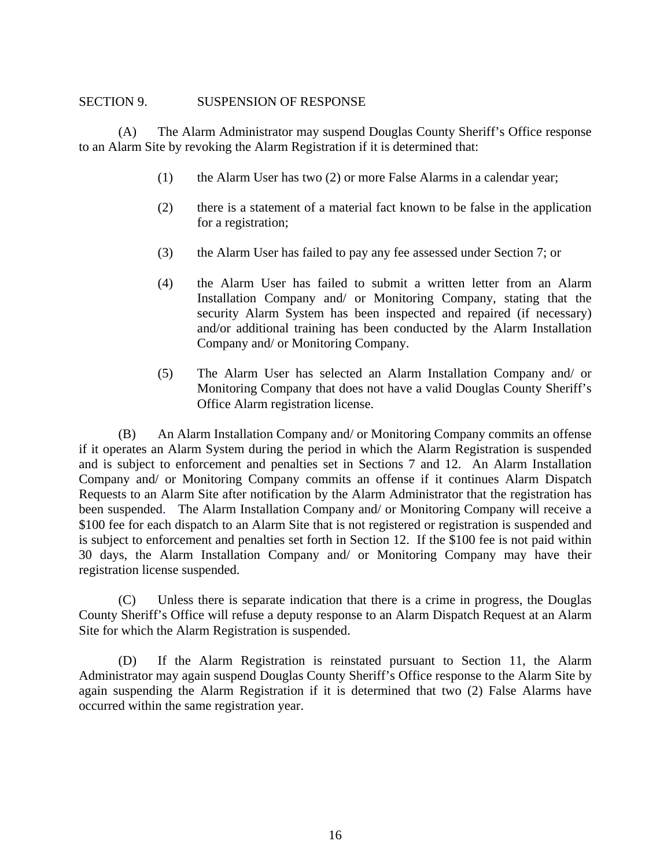### SECTION 9. SUSPENSION OF RESPONSE

 (A) The Alarm Administrator may suspend Douglas County Sheriff's Office response to an Alarm Site by revoking the Alarm Registration if it is determined that:

- (1) the Alarm User has two (2) or more False Alarms in a calendar year;
- (2) there is a statement of a material fact known to be false in the application for a registration;
- (3) the Alarm User has failed to pay any fee assessed under Section 7; or
- (4) the Alarm User has failed to submit a written letter from an Alarm Installation Company and/ or Monitoring Company, stating that the security Alarm System has been inspected and repaired (if necessary) and/or additional training has been conducted by the Alarm Installation Company and/ or Monitoring Company.
- (5) The Alarm User has selected an Alarm Installation Company and/ or Monitoring Company that does not have a valid Douglas County Sheriff's Office Alarm registration license.

 (B) An Alarm Installation Company and/ or Monitoring Company commits an offense if it operates an Alarm System during the period in which the Alarm Registration is suspended and is subject to enforcement and penalties set in Sections 7 and 12. An Alarm Installation Company and/ or Monitoring Company commits an offense if it continues Alarm Dispatch Requests to an Alarm Site after notification by the Alarm Administrator that the registration has been suspended. The Alarm Installation Company and/ or Monitoring Company will receive a \$100 fee for each dispatch to an Alarm Site that is not registered or registration is suspended and is subject to enforcement and penalties set forth in Section 12. If the \$100 fee is not paid within 30 days, the Alarm Installation Company and/ or Monitoring Company may have their registration license suspended.

 (C) Unless there is separate indication that there is a crime in progress, the Douglas County Sheriff's Office will refuse a deputy response to an Alarm Dispatch Request at an Alarm Site for which the Alarm Registration is suspended.

 (D) If the Alarm Registration is reinstated pursuant to Section 11, the Alarm Administrator may again suspend Douglas County Sheriff's Office response to the Alarm Site by again suspending the Alarm Registration if it is determined that two (2) False Alarms have occurred within the same registration year.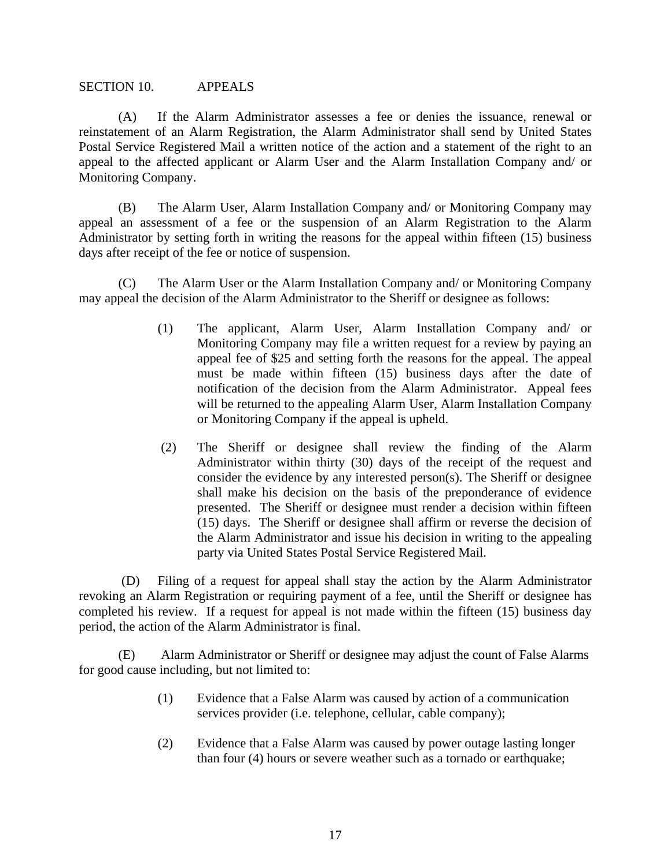#### SECTION 10. APPEALS

(A) If the Alarm Administrator assesses a fee or denies the issuance, renewal or reinstatement of an Alarm Registration, the Alarm Administrator shall send by United States Postal Service Registered Mail a written notice of the action and a statement of the right to an appeal to the affected applicant or Alarm User and the Alarm Installation Company and/ or Monitoring Company.

(B) The Alarm User, Alarm Installation Company and/ or Monitoring Company may appeal an assessment of a fee or the suspension of an Alarm Registration to the Alarm Administrator by setting forth in writing the reasons for the appeal within fifteen (15) business days after receipt of the fee or notice of suspension.

(C) The Alarm User or the Alarm Installation Company and/ or Monitoring Company may appeal the decision of the Alarm Administrator to the Sheriff or designee as follows:

- (1) The applicant, Alarm User, Alarm Installation Company and/ or Monitoring Company may file a written request for a review by paying an appeal fee of \$25 and setting forth the reasons for the appeal. The appeal must be made within fifteen (15) business days after the date of notification of the decision from the Alarm Administrator. Appeal fees will be returned to the appealing Alarm User, Alarm Installation Company or Monitoring Company if the appeal is upheld.
- (2) The Sheriff or designee shall review the finding of the Alarm Administrator within thirty (30) days of the receipt of the request and consider the evidence by any interested person(s). The Sheriff or designee shall make his decision on the basis of the preponderance of evidence presented. The Sheriff or designee must render a decision within fifteen (15) days. The Sheriff or designee shall affirm or reverse the decision of the Alarm Administrator and issue his decision in writing to the appealing party via United States Postal Service Registered Mail.

 (D) Filing of a request for appeal shall stay the action by the Alarm Administrator revoking an Alarm Registration or requiring payment of a fee, until the Sheriff or designee has completed his review. If a request for appeal is not made within the fifteen (15) business day period, the action of the Alarm Administrator is final.

 (E) Alarm Administrator or Sheriff or designee may adjust the count of False Alarms for good cause including, but not limited to:

- (1) Evidence that a False Alarm was caused by action of a communication services provider (i.e. telephone, cellular, cable company);
- (2) Evidence that a False Alarm was caused by power outage lasting longer than four (4) hours or severe weather such as a tornado or earthquake;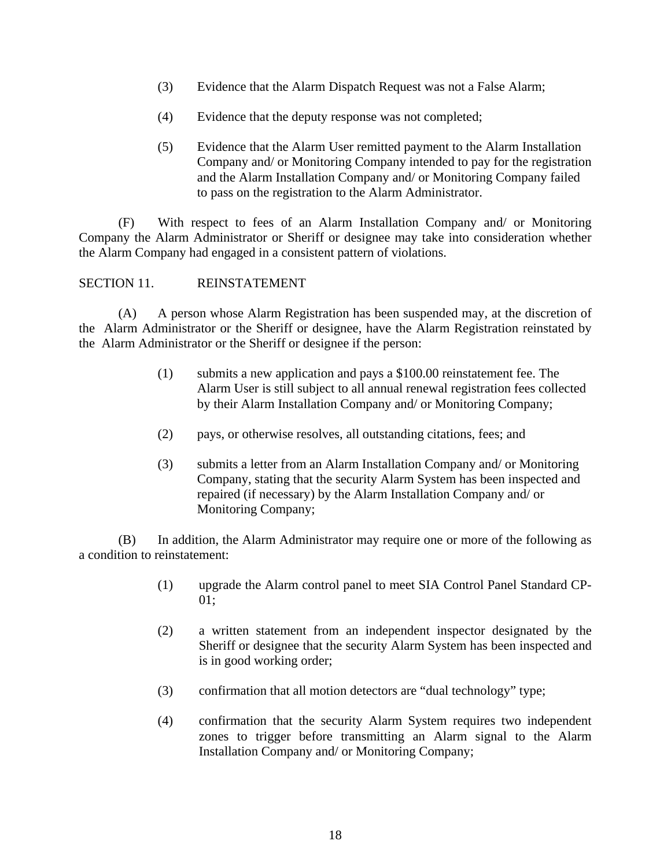- (3) Evidence that the Alarm Dispatch Request was not a False Alarm;
- (4) Evidence that the deputy response was not completed;
- (5) Evidence that the Alarm User remitted payment to the Alarm Installation Company and/ or Monitoring Company intended to pay for the registration and the Alarm Installation Company and/ or Monitoring Company failed to pass on the registration to the Alarm Administrator.

(F) With respect to fees of an Alarm Installation Company and/ or Monitoring Company the Alarm Administrator or Sheriff or designee may take into consideration whether the Alarm Company had engaged in a consistent pattern of violations.

## SECTION 11. REINSTATEMENT

 (A) A person whose Alarm Registration has been suspended may, at the discretion of the Alarm Administrator or the Sheriff or designee, have the Alarm Registration reinstated by the Alarm Administrator or the Sheriff or designee if the person:

- (1) submits a new application and pays a \$100.00 reinstatement fee. The Alarm User is still subject to all annual renewal registration fees collected by their Alarm Installation Company and/ or Monitoring Company;
- (2) pays, or otherwise resolves, all outstanding citations, fees; and
- (3) submits a letter from an Alarm Installation Company and/ or Monitoring Company, stating that the security Alarm System has been inspected and repaired (if necessary) by the Alarm Installation Company and/ or Monitoring Company;

 (B) In addition, the Alarm Administrator may require one or more of the following as a condition to reinstatement:

- (1) upgrade the Alarm control panel to meet SIA Control Panel Standard CP-01;
- (2) a written statement from an independent inspector designated by the Sheriff or designee that the security Alarm System has been inspected and is in good working order;
- (3) confirmation that all motion detectors are "dual technology" type;
- (4) confirmation that the security Alarm System requires two independent zones to trigger before transmitting an Alarm signal to the Alarm Installation Company and/ or Monitoring Company;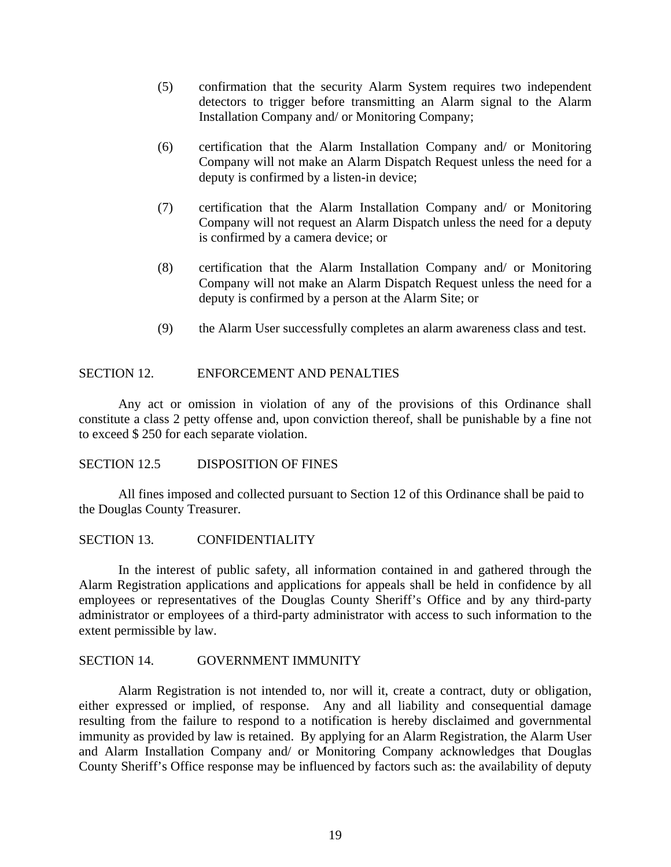- (5) confirmation that the security Alarm System requires two independent detectors to trigger before transmitting an Alarm signal to the Alarm Installation Company and/ or Monitoring Company;
- (6) certification that the Alarm Installation Company and/ or Monitoring Company will not make an Alarm Dispatch Request unless the need for a deputy is confirmed by a listen-in device;
- (7) certification that the Alarm Installation Company and/ or Monitoring Company will not request an Alarm Dispatch unless the need for a deputy is confirmed by a camera device; or
- (8) certification that the Alarm Installation Company and/ or Monitoring Company will not make an Alarm Dispatch Request unless the need for a deputy is confirmed by a person at the Alarm Site; or
- (9) the Alarm User successfully completes an alarm awareness class and test.

#### SECTION 12. ENFORCEMENT AND PENALTIES

 Any act or omission in violation of any of the provisions of this Ordinance shall constitute a class 2 petty offense and, upon conviction thereof, shall be punishable by a fine not to exceed \$ 250 for each separate violation.

#### SECTION 12.5 DISPOSITION OF FINES

 All fines imposed and collected pursuant to Section 12 of this Ordinance shall be paid to the Douglas County Treasurer.

#### SECTION 13. CONFIDENTIALITY

 In the interest of public safety, all information contained in and gathered through the Alarm Registration applications and applications for appeals shall be held in confidence by all employees or representatives of the Douglas County Sheriff's Office and by any third-party administrator or employees of a third-party administrator with access to such information to the extent permissible by law.

#### SECTION 14. GOVERNMENT IMMUNITY

 Alarm Registration is not intended to, nor will it, create a contract, duty or obligation, either expressed or implied, of response. Any and all liability and consequential damage resulting from the failure to respond to a notification is hereby disclaimed and governmental immunity as provided by law is retained. By applying for an Alarm Registration, the Alarm User and Alarm Installation Company and/ or Monitoring Company acknowledges that Douglas County Sheriff's Office response may be influenced by factors such as: the availability of deputy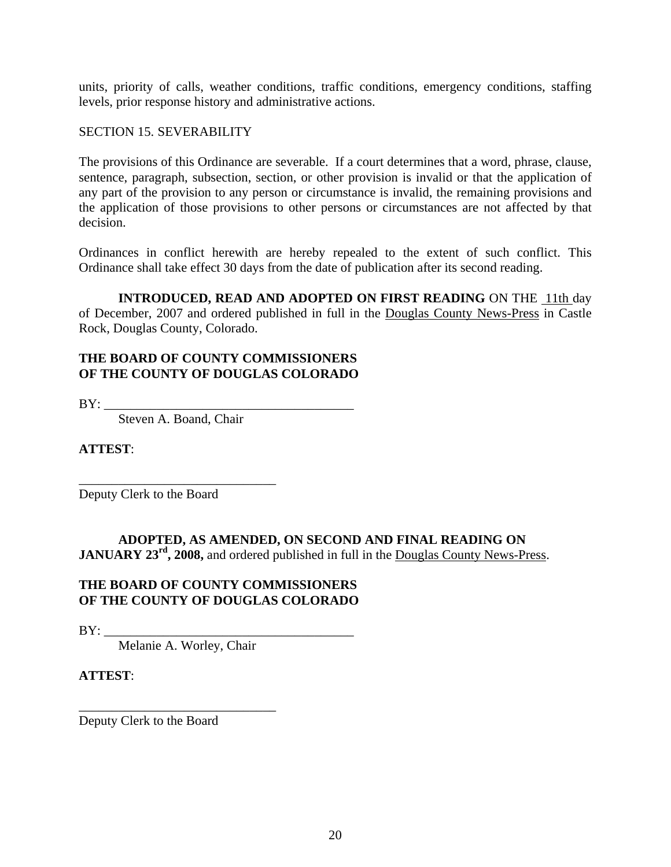units, priority of calls, weather conditions, traffic conditions, emergency conditions, staffing levels, prior response history and administrative actions.

### SECTION 15. SEVERABILITY

The provisions of this Ordinance are severable. If a court determines that a word, phrase, clause, sentence, paragraph, subsection, section, or other provision is invalid or that the application of any part of the provision to any person or circumstance is invalid, the remaining provisions and the application of those provisions to other persons or circumstances are not affected by that decision.

Ordinances in conflict herewith are hereby repealed to the extent of such conflict. This Ordinance shall take effect 30 days from the date of publication after its second reading.

**INTRODUCED, READ AND ADOPTED ON FIRST READING** ON THE 11th day of December, 2007 and ordered published in full in the Douglas County News-Press in Castle Rock, Douglas County, Colorado.

### **THE BOARD OF COUNTY COMMISSIONERS OF THE COUNTY OF DOUGLAS COLORADO**

 $BY:$ 

Steven A. Boand, Chair

\_\_\_\_\_\_\_\_\_\_\_\_\_\_\_\_\_\_\_\_\_\_\_\_\_\_\_\_\_\_

**ATTEST**:

Deputy Clerk to the Board

# **ADOPTED, AS AMENDED, ON SECOND AND FINAL READING ON JANUARY 23<sup>rd</sup>**, 2008, and ordered published in full in the Douglas County News-Press.

### **THE BOARD OF COUNTY COMMISSIONERS OF THE COUNTY OF DOUGLAS COLORADO**

 $BY:$ 

Melanie A. Worley, Chair

\_\_\_\_\_\_\_\_\_\_\_\_\_\_\_\_\_\_\_\_\_\_\_\_\_\_\_\_\_\_

# **ATTEST**:

Deputy Clerk to the Board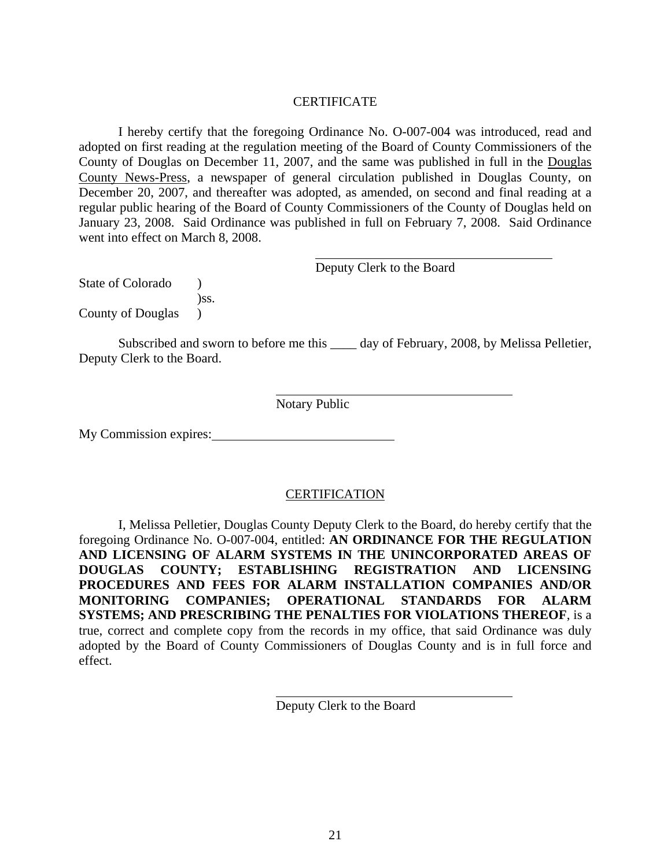### **CERTIFICATE**

 I hereby certify that the foregoing Ordinance No. O-007-004 was introduced, read and adopted on first reading at the regulation meeting of the Board of County Commissioners of the County of Douglas on December 11, 2007, and the same was published in full in the Douglas County News-Press, a newspaper of general circulation published in Douglas County, on December 20, 2007, and thereafter was adopted, as amended, on second and final reading at a regular public hearing of the Board of County Commissioners of the County of Douglas held on January 23, 2008. Said Ordinance was published in full on February 7, 2008. Said Ordinance went into effect on March 8, 2008.

Deputy Clerk to the Board

State of Colorado ) )ss. County of Douglas )

Subscribed and sworn to before me this \_\_\_\_\_ day of February, 2008, by Melissa Pelletier, Deputy Clerk to the Board.

Notary Public

My Commission expires:

### CERTIFICATION

 I, Melissa Pelletier, Douglas County Deputy Clerk to the Board, do hereby certify that the foregoing Ordinance No. O-007-004, entitled: **AN ORDINANCE FOR THE REGULATION AND LICENSING OF ALARM SYSTEMS IN THE UNINCORPORATED AREAS OF DOUGLAS COUNTY; ESTABLISHING REGISTRATION AND LICENSING PROCEDURES AND FEES FOR ALARM INSTALLATION COMPANIES AND/OR MONITORING COMPANIES; OPERATIONAL STANDARDS FOR ALARM SYSTEMS; AND PRESCRIBING THE PENALTIES FOR VIOLATIONS THEREOF**, is a true, correct and complete copy from the records in my office, that said Ordinance was duly adopted by the Board of County Commissioners of Douglas County and is in full force and effect.

Deputy Clerk to the Board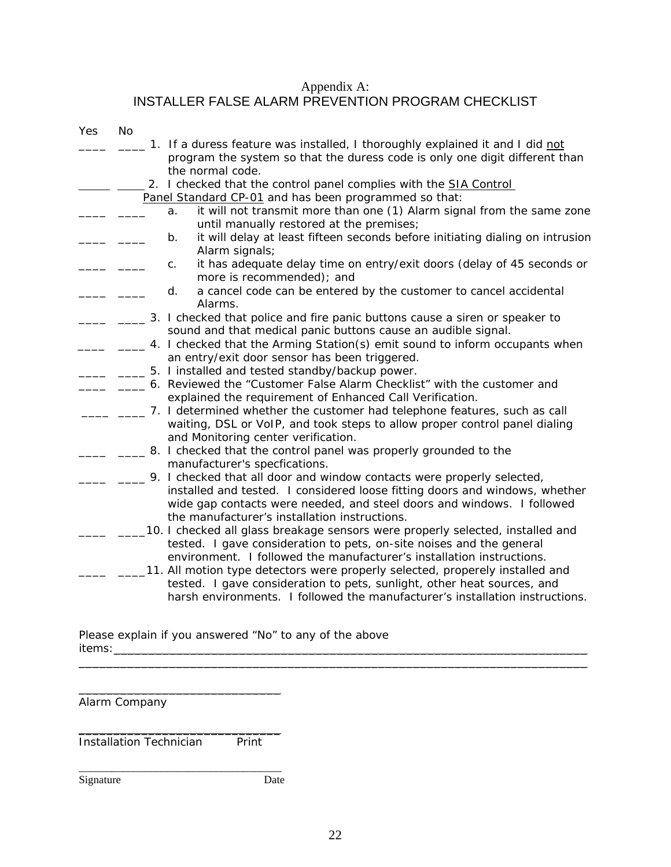### Appendix A: INSTALLER FALSE ALARM PREVENTION PROGRAM CHECKLIST

| Yes | <b>No</b> |                                                                                                                                                                                                                                                                                  |
|-----|-----------|----------------------------------------------------------------------------------------------------------------------------------------------------------------------------------------------------------------------------------------------------------------------------------|
|     |           | 1. If a duress feature was installed, I thoroughly explained it and I did not<br>program the system so that the duress code is only one digit different than<br>the normal code.                                                                                                 |
|     |           | 2. I checked that the control panel complies with the <b>SIA Control</b>                                                                                                                                                                                                         |
|     |           | Panel Standard CP-01 and has been programmed so that:                                                                                                                                                                                                                            |
|     |           | it will not transmit more than one (1) Alarm signal from the same zone<br>a.<br>until manually restored at the premises;                                                                                                                                                         |
|     |           | it will delay at least fifteen seconds before initiating dialing on intrusion<br>b.<br>Alarm signals;                                                                                                                                                                            |
|     |           | it has adequate delay time on entry/exit doors (delay of 45 seconds or<br>C.<br>more is recommended); and                                                                                                                                                                        |
|     |           | a cancel code can be entered by the customer to cancel accidental<br>d.<br>Alarms.                                                                                                                                                                                               |
|     |           | 3. I checked that police and fire panic buttons cause a siren or speaker to<br>sound and that medical panic buttons cause an audible signal.                                                                                                                                     |
|     |           | 4. I checked that the Arming Station(s) emit sound to inform occupants when<br>an entry/exit door sensor has been triggered.                                                                                                                                                     |
|     |           | 5. I installed and tested standby/backup power.                                                                                                                                                                                                                                  |
|     |           | 6. Reviewed the "Customer False Alarm Checklist" with the customer and<br>explained the requirement of Enhanced Call Verification.                                                                                                                                               |
|     |           | 7. I determined whether the customer had telephone features, such as call<br>waiting, DSL or VoIP, and took steps to allow proper control panel dialing<br>and Monitoring center verification.                                                                                   |
|     |           | 8. I checked that the control panel was properly grounded to the<br>manufacturer's specfications.                                                                                                                                                                                |
|     |           | 9. I checked that all door and window contacts were properly selected,<br>installed and tested. I considered loose fitting doors and windows, whether<br>wide gap contacts were needed, and steel doors and windows. I followed<br>the manufacturer's installation instructions. |
|     |           | 10. I checked all glass breakage sensors were properly selected, installed and<br>tested. I gave consideration to pets, on-site noises and the general<br>environment. I followed the manufacturer's installation instructions.                                                  |
|     |           | 11. All motion type detectors were properly selected, properely installed and<br>tested. I gave consideration to pets, sunlight, other heat sources, and<br>harsh environments. I followed the manufacturer's installation instructions.                                         |

Please explain if you answered "No" to any of the above items:\_\_\_\_\_\_\_\_\_\_\_\_\_\_\_\_\_\_\_\_\_\_\_\_\_\_\_\_\_\_\_\_\_\_\_\_\_\_\_\_\_\_\_\_\_\_\_\_\_\_\_\_\_\_\_\_\_\_\_\_\_\_\_\_\_\_\_\_

Alarm Company

\_\_\_\_\_\_\_\_\_\_\_\_\_\_\_\_\_\_\_\_\_\_\_\_\_\_\_\_\_ Installation Technician Print

\_\_\_\_\_\_\_\_\_\_\_\_\_\_\_\_\_\_\_\_\_\_\_\_\_\_\_\_\_

Signature Date

\_\_\_\_\_\_\_\_\_\_\_\_\_\_\_\_\_\_\_\_\_\_\_\_\_\_\_\_\_\_\_\_\_\_\_\_\_

 $\mathcal{L}_\mathcal{L} = \{ \mathcal{L}_\mathcal{L} = \{ \mathcal{L}_\mathcal{L} = \{ \mathcal{L}_\mathcal{L} = \{ \mathcal{L}_\mathcal{L} = \{ \mathcal{L}_\mathcal{L} = \{ \mathcal{L}_\mathcal{L} = \{ \mathcal{L}_\mathcal{L} = \{ \mathcal{L}_\mathcal{L} = \{ \mathcal{L}_\mathcal{L} = \{ \mathcal{L}_\mathcal{L} = \{ \mathcal{L}_\mathcal{L} = \{ \mathcal{L}_\mathcal{L} = \{ \mathcal{L}_\mathcal{L} = \{ \mathcal{L}_\mathcal{$